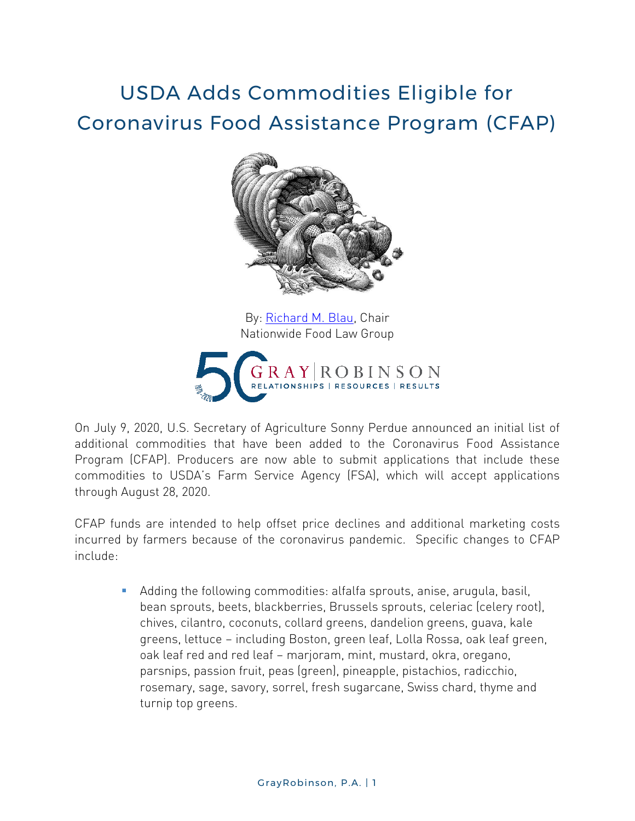## USDA Adds Commodities Eligible for Coronavirus Food Assistance Program (CFAP)



By: [Richard M. Blau,](http://www.gray-robinson.com/attorneys-professionals/richard-m-blau) Chair Nationwide Food Law Group



On July 9, 2020, U.S. Secretary of Agriculture Sonny Perdue announced an initial list of additional commodities that have been added to the Coronavirus Food Assistance Program (CFAP). Producers are now able to submit applications that include these commodities to USDA's Farm Service Agency (FSA), which will accept applications through August 28, 2020.

CFAP funds are intended to help offset price declines and additional marketing costs incurred by farmers because of the coronavirus pandemic. Specific changes to CFAP include:

 Adding the following commodities: alfalfa sprouts, anise, arugula, basil, bean sprouts, beets, blackberries, Brussels sprouts, celeriac (celery root), chives, cilantro, coconuts, collard greens, dandelion greens, guava, kale greens, lettuce – including Boston, green leaf, Lolla Rossa, oak leaf green, oak leaf red and red leaf – marjoram, mint, mustard, okra, oregano, parsnips, passion fruit, peas (green), pineapple, pistachios, radicchio, rosemary, sage, savory, sorrel, fresh sugarcane, Swiss chard, thyme and turnip top greens.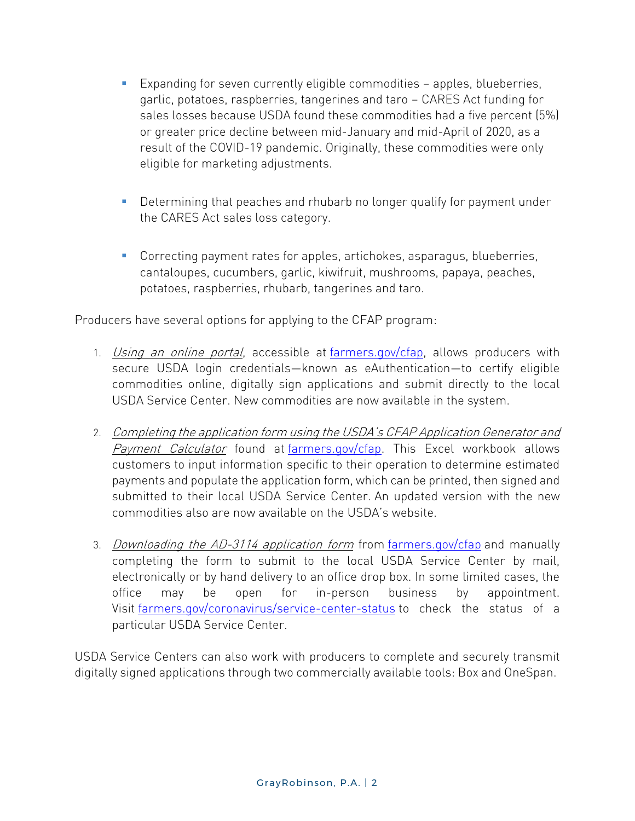- Expanding for seven currently eligible commodities apples, blueberries, garlic, potatoes, raspberries, tangerines and taro – CARES Act funding for sales losses because USDA found these commodities had a five percent (5%) or greater price decline between mid-January and mid-April of 2020, as a result of the COVID-19 pandemic. Originally, these commodities were only eligible for marketing adjustments.
- **Determining that peaches and rhubarb no longer qualify for payment under** the CARES Act sales loss category.
- Correcting payment rates for apples, artichokes, asparagus, blueberries, cantaloupes, cucumbers, garlic, kiwifruit, mushrooms, papaya, peaches, potatoes, raspberries, rhubarb, tangerines and taro.

Producers have several options for applying to the CFAP program:

- 1. *Using an online portal*, accessible at [farmers.gov/cfap,](https://www.farmers.gov/cfap) allows producers with secure USDA login credentials—known as eAuthentication—to certify eligible commodities online, digitally sign applications and submit directly to the local USDA Service Center. New commodities are now available in the system.
- 2. Completing the application form using the USDA's CFAP Application Generator and Payment Calculator found at [farmers.gov/cfap.](https://www.farmers.gov/cfap) This Excel workbook allows customers to input information specific to their operation to determine estimated payments and populate the application form, which can be printed, then signed and submitted to their local USDA Service Center. An updated version with the new commodities also are now available on the USDA's website.
- 3. *Downloading the AD-3114 application form* from [farmers.gov/cfap](https://www.farmers.gov/cfap) and manually completing the form to submit to the local USDA Service Center by mail, electronically or by hand delivery to an office drop box. In some limited cases, the office may be open for in-person business by appointment. Visit [farmers.gov/coronavirus/service-center-status](https://www.farmers.gov/coronavirus/service-center-status) to check the status of a particular USDA Service Center.

USDA Service Centers can also work with producers to complete and securely transmit digitally signed applications through two commercially available tools: Box and OneSpan.